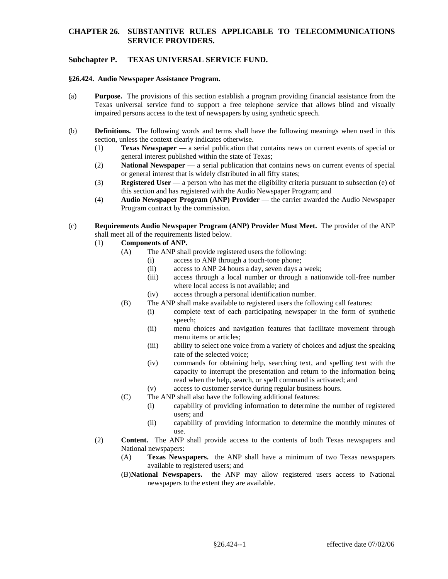# **CHAPTER 26. SUBSTANTIVE RULES APPLICABLE TO TELECOMMUNICATIONS SERVICE PROVIDERS.**

# **Subchapter P. TEXAS UNIVERSAL SERVICE FUND.**

#### **§26.424. Audio Newspaper Assistance Program.**

- (a) **Purpose.** The provisions of this section establish a program providing financial assistance from the Texas universal service fund to support a free telephone service that allows blind and visually impaired persons access to the text of newspapers by using synthetic speech.
- (b) **Definitions.** The following words and terms shall have the following meanings when used in this section, unless the context clearly indicates otherwise.
	- (1) **Texas Newspaper**  a serial publication that contains news on current events of special or general interest published within the state of Texas;
	- (2) **National Newspaper**  a serial publication that contains news on current events of special or general interest that is widely distributed in all fifty states;
	- (3) **Registered User**  a person who has met the eligibility criteria pursuant to subsection (e) of this section and has registered with the Audio Newspaper Program; and
	- (4) **Audio Newspaper Program (ANP) Provider**  the carrier awarded the Audio Newspaper Program contract by the commission.
- (c) **Requirements Audio Newspaper Program (ANP) Provider Must Meet.** The provider of the ANP shall meet all of the requirements listed below.
	- (1) **Components of ANP.** 
		- (A) The ANP shall provide registered users the following:
			- (i) access to ANP through a touch-tone phone;
			- (ii) access to ANP 24 hours a day, seven days a week;
			- (iii) access through a local number or through a nationwide toll-free number where local access is not available; and
			- (iv) access through a personal identification number.
		- (B) The ANP shall make available to registered users the following call features:
			- (i) complete text of each participating newspaper in the form of synthetic speech;
			- (ii) menu choices and navigation features that facilitate movement through menu items or articles;
			- (iii) ability to select one voice from a variety of choices and adjust the speaking rate of the selected voice;
			- (iv) commands for obtaining help, searching text, and spelling text with the capacity to interrupt the presentation and return to the information being read when the help, search, or spell command is activated; and
			- (v) access to customer service during regular business hours.
		- (C) The ANP shall also have the following additional features:
			- (i) capability of providing information to determine the number of registered users; and
			- (ii) capability of providing information to determine the monthly minutes of use.
	- (2) **Content.** The ANP shall provide access to the contents of both Texas newspapers and National newspapers:
		- (A) **Texas Newspapers.** the ANP shall have a minimum of two Texas newspapers available to registered users; and
		- (B)**National Newspapers.** the ANP may allow registered users access to National newspapers to the extent they are available.